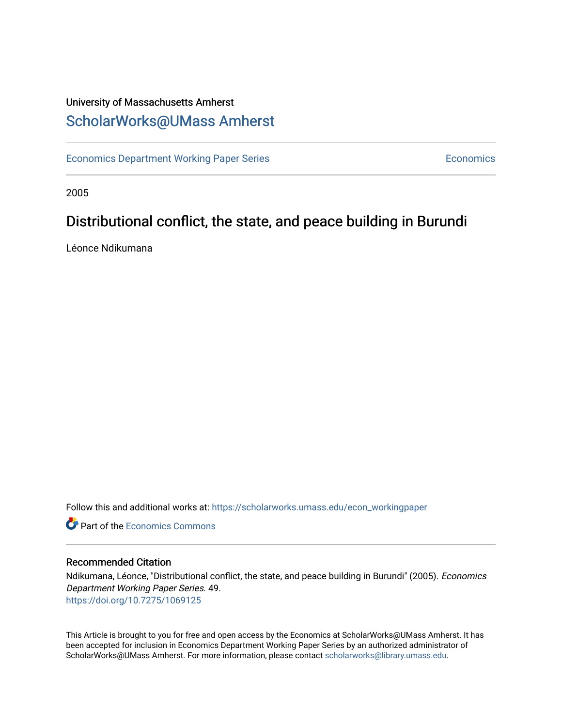### University of Massachusetts Amherst [ScholarWorks@UMass Amherst](https://scholarworks.umass.edu/)

[Economics Department Working Paper Series](https://scholarworks.umass.edu/econ_workingpaper) **Economics** Economics

2005

## Distributional conflict, the state, and peace building in Burundi

Léonce Ndikumana

Follow this and additional works at: [https://scholarworks.umass.edu/econ\\_workingpaper](https://scholarworks.umass.edu/econ_workingpaper?utm_source=scholarworks.umass.edu%2Fecon_workingpaper%2F49&utm_medium=PDF&utm_campaign=PDFCoverPages) 

**C** Part of the [Economics Commons](http://network.bepress.com/hgg/discipline/340?utm_source=scholarworks.umass.edu%2Fecon_workingpaper%2F49&utm_medium=PDF&utm_campaign=PDFCoverPages)

#### Recommended Citation

Ndikumana, Léonce, "Distributional conflict, the state, and peace building in Burundi" (2005). Economics Department Working Paper Series. 49. <https://doi.org/10.7275/1069125>

This Article is brought to you for free and open access by the Economics at ScholarWorks@UMass Amherst. It has been accepted for inclusion in Economics Department Working Paper Series by an authorized administrator of ScholarWorks@UMass Amherst. For more information, please contact [scholarworks@library.umass.edu.](mailto:scholarworks@library.umass.edu)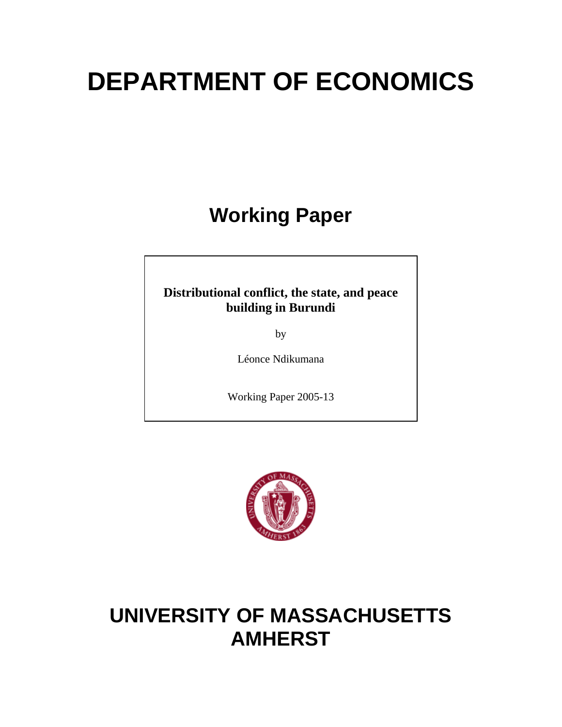# **DEPARTMENT OF ECONOMICS**

# **Working Paper**

### **Distributional conflict, the state, and peace building in Burundi**

by

Léonce Ndikumana

Working Paper 2005-13



# **UNIVERSITY OF MASSACHUSETTS AMHERST**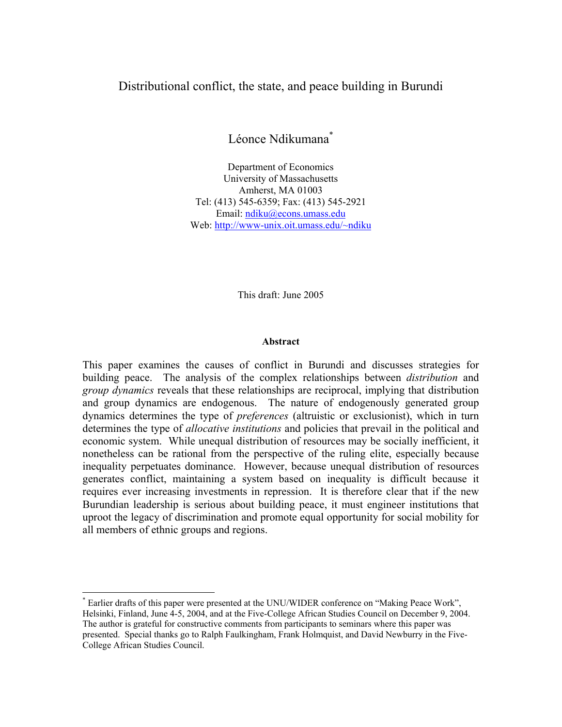#### Distributional conflict, the state, and peace building in Burundi

Léonce Ndikumana<sup>\*</sup>

Department of Economics University of Massachusetts Amherst, MA 01003 Tel: (413) 545-6359; Fax: (413) 545-2921 Email: ndiku@econs.umass.edu Web: http://www-unix.oit.umass.edu/~ndiku

This draft: June 2005

#### **Abstract**

This paper examines the causes of conflict in Burundi and discusses strategies for building peace. The analysis of the complex relationships between *distribution* and *group dynamics* reveals that these relationships are reciprocal, implying that distribution and group dynamics are endogenous. The nature of endogenously generated group dynamics determines the type of *preferences* (altruistic or exclusionist), which in turn determines the type of *allocative institutions* and policies that prevail in the political and economic system. While unequal distribution of resources may be socially inefficient, it nonetheless can be rational from the perspective of the ruling elite, especially because inequality perpetuates dominance. However, because unequal distribution of resources generates conflict, maintaining a system based on inequality is difficult because it requires ever increasing investments in repression. It is therefore clear that if the new Burundian leadership is serious about building peace, it must engineer institutions that uproot the legacy of discrimination and promote equal opportunity for social mobility for all members of ethnic groups and regions.

 $\overline{a}$ 

<sup>\*</sup> Earlier drafts of this paper were presented at the UNU/WIDER conference on "Making Peace Work", Helsinki, Finland, June 4-5, 2004, and at the Five-College African Studies Council on December 9, 2004. The author is grateful for constructive comments from participants to seminars where this paper was presented. Special thanks go to Ralph Faulkingham, Frank Holmquist, and David Newburry in the Five-College African Studies Council.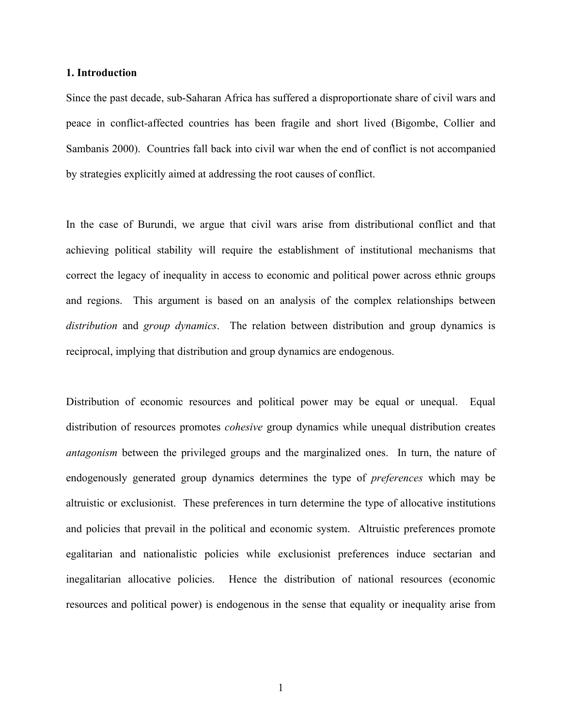#### **1. Introduction**

Since the past decade, sub-Saharan Africa has suffered a disproportionate share of civil wars and peace in conflict-affected countries has been fragile and short lived (Bigombe, Collier and Sambanis 2000). Countries fall back into civil war when the end of conflict is not accompanied by strategies explicitly aimed at addressing the root causes of conflict.

In the case of Burundi, we argue that civil wars arise from distributional conflict and that achieving political stability will require the establishment of institutional mechanisms that correct the legacy of inequality in access to economic and political power across ethnic groups and regions. This argument is based on an analysis of the complex relationships between *distribution* and *group dynamics*. The relation between distribution and group dynamics is reciprocal, implying that distribution and group dynamics are endogenous.

Distribution of economic resources and political power may be equal or unequal. Equal distribution of resources promotes *cohesive* group dynamics while unequal distribution creates *antagonism* between the privileged groups and the marginalized ones. In turn, the nature of endogenously generated group dynamics determines the type of *preferences* which may be altruistic or exclusionist. These preferences in turn determine the type of allocative institutions and policies that prevail in the political and economic system. Altruistic preferences promote egalitarian and nationalistic policies while exclusionist preferences induce sectarian and inegalitarian allocative policies. Hence the distribution of national resources (economic resources and political power) is endogenous in the sense that equality or inequality arise from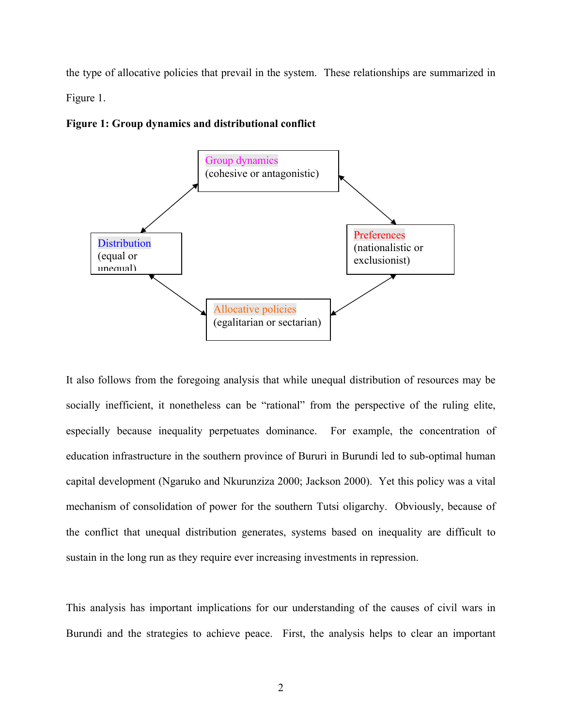the type of allocative policies that prevail in the system. These relationships are summarized in Figure 1.



#### **Figure 1: Group dynamics and distributional conflict**

It also follows from the foregoing analysis that while unequal distribution of resources may be socially inefficient, it nonetheless can be "rational" from the perspective of the ruling elite, especially because inequality perpetuates dominance. For example, the concentration of education infrastructure in the southern province of Bururi in Burundi led to sub-optimal human capital development (Ngaruko and Nkurunziza 2000; Jackson 2000). Yet this policy was a vital mechanism of consolidation of power for the southern Tutsi oligarchy. Obviously, because of the conflict that unequal distribution generates, systems based on inequality are difficult to sustain in the long run as they require ever increasing investments in repression.

This analysis has important implications for our understanding of the causes of civil wars in Burundi and the strategies to achieve peace. First, the analysis helps to clear an important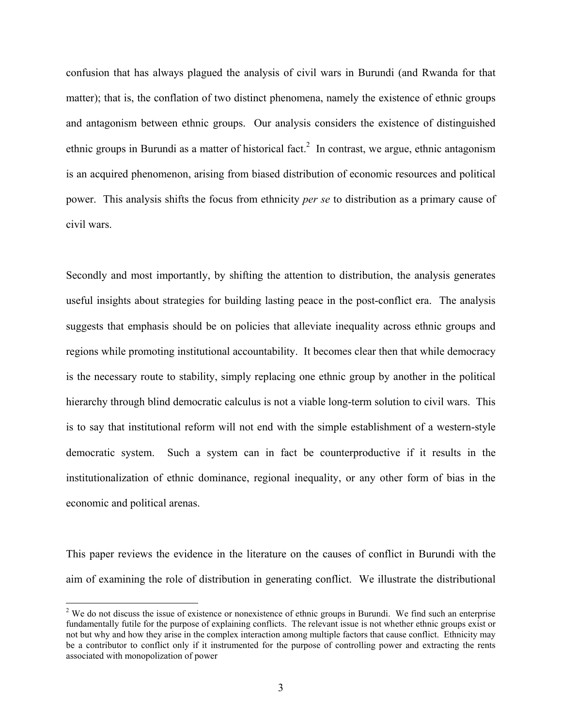confusion that has always plagued the analysis of civil wars in Burundi (and Rwanda for that matter); that is, the conflation of two distinct phenomena, namely the existence of ethnic groups and antagonism between ethnic groups. Our analysis considers the existence of distinguished ethnic groups in Burundi as a matter of historical fact.<sup>2</sup> In contrast, we argue, ethnic antagonism is an acquired phenomenon, arising from biased distribution of economic resources and political power. This analysis shifts the focus from ethnicity *per se* to distribution as a primary cause of civil wars.

Secondly and most importantly, by shifting the attention to distribution, the analysis generates useful insights about strategies for building lasting peace in the post-conflict era. The analysis suggests that emphasis should be on policies that alleviate inequality across ethnic groups and regions while promoting institutional accountability. It becomes clear then that while democracy is the necessary route to stability, simply replacing one ethnic group by another in the political hierarchy through blind democratic calculus is not a viable long-term solution to civil wars. This is to say that institutional reform will not end with the simple establishment of a western-style democratic system. Such a system can in fact be counterproductive if it results in the institutionalization of ethnic dominance, regional inequality, or any other form of bias in the economic and political arenas.

This paper reviews the evidence in the literature on the causes of conflict in Burundi with the aim of examining the role of distribution in generating conflict. We illustrate the distributional

1

 $2$  We do not discuss the issue of existence or nonexistence of ethnic groups in Burundi. We find such an enterprise fundamentally futile for the purpose of explaining conflicts. The relevant issue is not whether ethnic groups exist or not but why and how they arise in the complex interaction among multiple factors that cause conflict. Ethnicity may be a contributor to conflict only if it instrumented for the purpose of controlling power and extracting the rents associated with monopolization of power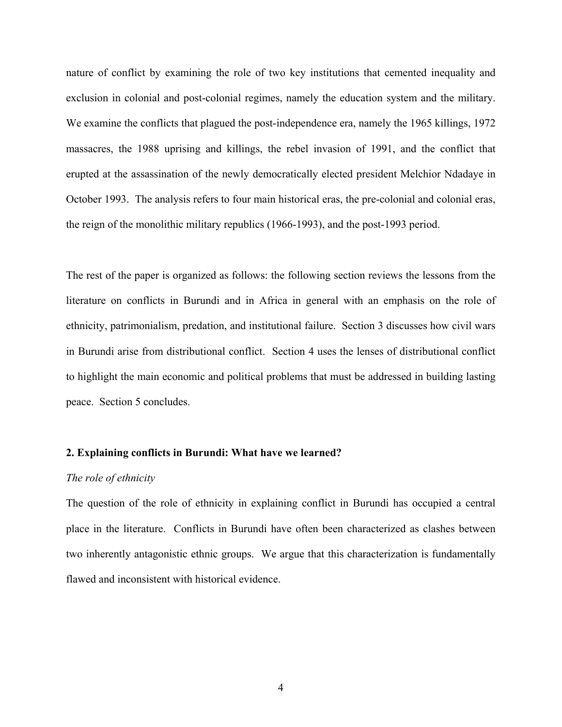nature of conflict by examining the role of two key institutions that cemented inequality and exclusion in colonial and post-colonial regimes, namely the education system and the military. We examine the conflicts that plagued the post-independence era, namely the 1965 killings, 1972 massacres, the 1988 uprising and killings, the rebel invasion of 1991, and the conflict that erupted at the assassination of the newly democratically elected president Melchior Ndadaye in October 1993. The analysis refers to four main historical eras, the pre-colonial and colonial eras, the reign of the monolithic military republics (1966-1993), and the post-1993 period.

The rest of the paper is organized as follows: the following section reviews the lessons from the literature on conflicts in Burundi and in Africa in general with an emphasis on the role of ethnicity, patrimonialism, predation, and institutional failure. Section 3 discusses how civil wars in Burundi arise from distributional conflict. Section 4 uses the lenses of distributional conflict to highlight the main economic and political problems that must be addressed in building lasting peace. Section 5 concludes.

#### **2. Explaining conflicts in Burundi: What have we learned?**

#### *The role of ethnicity*

The question of the role of ethnicity in explaining conflict in Burundi has occupied a central place in the literature. Conflicts in Burundi have often been characterized as clashes between two inherently antagonistic ethnic groups. We argue that this characterization is fundamentally flawed and inconsistent with historical evidence.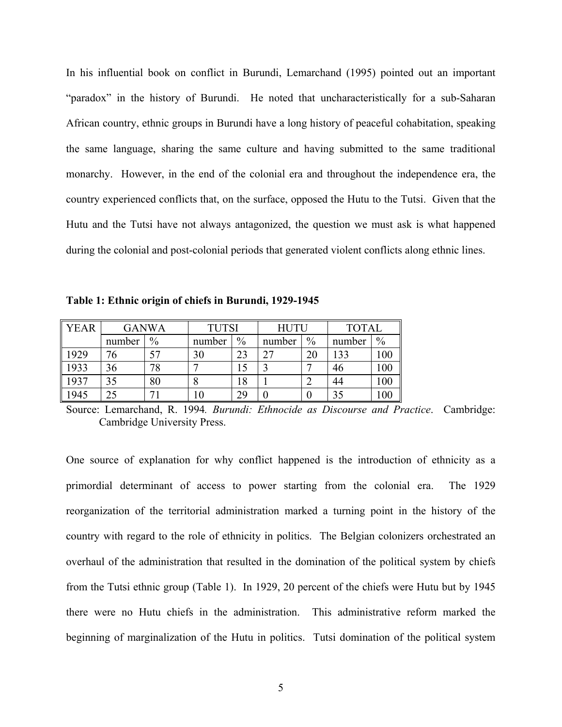In his influential book on conflict in Burundi, Lemarchand (1995) pointed out an important "paradox" in the history of Burundi. He noted that uncharacteristically for a sub-Saharan African country, ethnic groups in Burundi have a long history of peaceful cohabitation, speaking the same language, sharing the same culture and having submitted to the same traditional monarchy. However, in the end of the colonial era and throughout the independence era, the country experienced conflicts that, on the surface, opposed the Hutu to the Tutsi. Given that the Hutu and the Tutsi have not always antagonized, the question we must ask is what happened during the colonial and post-colonial periods that generated violent conflicts along ethnic lines.

**Table 1: Ethnic origin of chiefs in Burundi, 1929-1945** 

| <b>YEAR</b> | <b>GANWA</b> |      | <b>TUTSI</b> |      | <b>HUTU</b> |               | <b>TOTAL</b> |               |
|-------------|--------------|------|--------------|------|-------------|---------------|--------------|---------------|
|             | number       | $\%$ | number       | $\%$ | number      | $\frac{0}{0}$ | number       | $\frac{0}{0}$ |
| 1929        | 76           |      | 30           | 23   | $\gamma$    | 20            | 133          | 100           |
| 1933        | 36           | 78   |              |      |             |               | 46           | 100           |
| 1937        | 35           | 80   |              | 18   |             |               | 44           | 100           |
| 1945        | 25           |      | 10           | 29   |             | U             | 35           | 100           |

Source: Lemarchand, R. 1994*. Burundi: Ethnocide as Discourse and Practice*. Cambridge: Cambridge University Press.

One source of explanation for why conflict happened is the introduction of ethnicity as a primordial determinant of access to power starting from the colonial era. The 1929 reorganization of the territorial administration marked a turning point in the history of the country with regard to the role of ethnicity in politics. The Belgian colonizers orchestrated an overhaul of the administration that resulted in the domination of the political system by chiefs from the Tutsi ethnic group (Table 1). In 1929, 20 percent of the chiefs were Hutu but by 1945 there were no Hutu chiefs in the administration. This administrative reform marked the beginning of marginalization of the Hutu in politics. Tutsi domination of the political system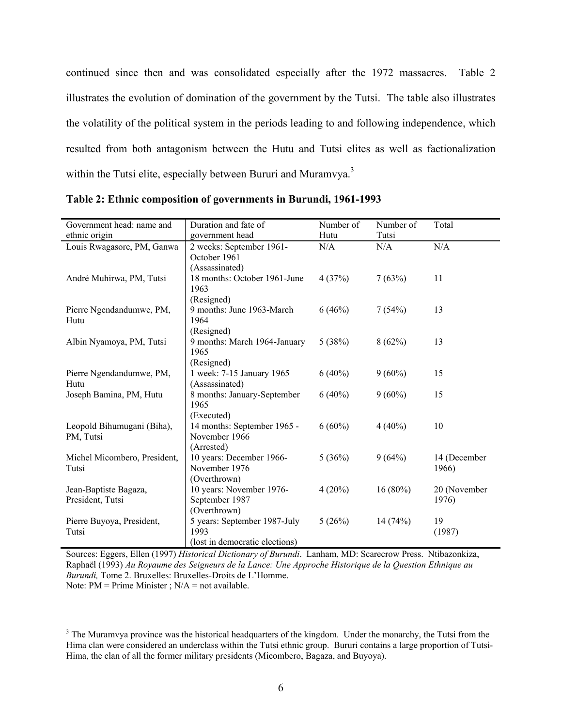continued since then and was consolidated especially after the 1972 massacres. Table 2 illustrates the evolution of domination of the government by the Tutsi. The table also illustrates the volatility of the political system in the periods leading to and following independence, which resulted from both antagonism between the Hutu and Tutsi elites as well as factionalization within the Tutsi elite, especially between Bururi and Muramvya.<sup>3</sup>

| Government head: name and    | Duration and fate of           | Number of | Number of  | Total        |
|------------------------------|--------------------------------|-----------|------------|--------------|
| ethnic origin                | government head                | Hutu      | Tutsi      |              |
| Louis Rwagasore, PM, Ganwa   | 2 weeks: September 1961-       | N/A       | N/A        | N/A          |
|                              | October 1961                   |           |            |              |
|                              |                                |           |            |              |
|                              | (Assassinated)                 |           |            |              |
| André Muhirwa, PM, Tutsi     | 18 months: October 1961-June   | 4(37%)    | 7(63%)     | 11           |
|                              | 1963                           |           |            |              |
|                              | (Resigned)                     |           |            |              |
| Pierre Ngendandumwe, PM,     | 9 months: June 1963-March      | 6(46%)    | 7(54%)     | 13           |
| Hutu                         | 1964                           |           |            |              |
|                              | (Resigned)                     |           |            |              |
| Albin Nyamoya, PM, Tutsi     | 9 months: March 1964-January   | 5(38%)    | 8(62%)     | 13           |
|                              | 1965                           |           |            |              |
|                              | (Resigned)                     |           |            |              |
| Pierre Ngendandumwe, PM,     | 1 week: 7-15 January 1965      | $6(40\%)$ | $9(60\%)$  | 15           |
| Hutu                         | (Assassinated)                 |           |            |              |
| Joseph Bamina, PM, Hutu      | 8 months: January-September    | $6(40\%)$ | $9(60\%)$  | 15           |
|                              | 1965                           |           |            |              |
|                              | (Executed)                     |           |            |              |
| Leopold Bihumugani (Biha),   | 14 months: September 1965 -    | $6(60\%)$ | $4(40\%)$  | 10           |
| PM, Tutsi                    | November 1966                  |           |            |              |
|                              | (Arrested)                     |           |            |              |
| Michel Micombero, President, | 10 years: December 1966-       | 5(36%)    | 9(64%)     | 14 (December |
| Tutsi                        | November 1976                  |           |            | 1966)        |
|                              | (Overthrown)                   |           |            |              |
|                              | 10 years: November 1976-       | $4(20\%)$ | $16(80\%)$ |              |
| Jean-Baptiste Bagaza,        |                                |           |            | 20 (November |
| President, Tutsi             | September 1987                 |           |            | 1976)        |
|                              | (Overthrown)                   |           |            |              |
| Pierre Buyoya, President,    | 5 years: September 1987-July   | 5(26%)    | 14(74%)    | 19           |
| Tutsi                        | 1993                           |           |            | (1987)       |
|                              | (lost in democratic elections) |           |            |              |

**Table 2: Ethnic composition of governments in Burundi, 1961-1993** 

Sources: Eggers, Ellen (1997) *Historical Dictionary of Burundi*. Lanham, MD: Scarecrow Press. Ntibazonkiza, Raphaël (1993) *Au Royaume des Seigneurs de la Lance: Une Approche Historique de la Question Ethnique au Burundi,* Tome 2. Bruxelles: Bruxelles-Droits de L'Homme. Note:  $PM = Prime Minister$ ;  $N/A = not available$ .

 $\overline{a}$ 

 $3$  The Muramvya province was the historical headquarters of the kingdom. Under the monarchy, the Tutsi from the Hima clan were considered an underclass within the Tutsi ethnic group. Bururi contains a large proportion of Tutsi-Hima, the clan of all the former military presidents (Micombero, Bagaza, and Buyoya).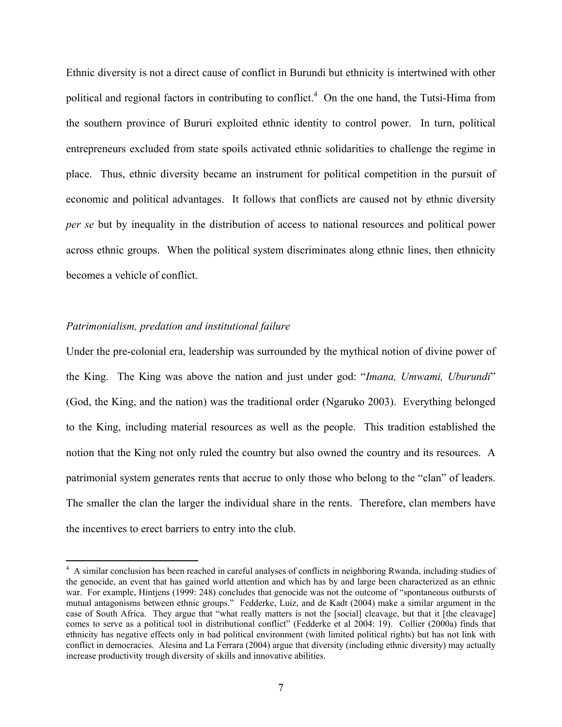Ethnic diversity is not a direct cause of conflict in Burundi but ethnicity is intertwined with other political and regional factors in contributing to conflict.<sup>4</sup> On the one hand, the Tutsi-Hima from the southern province of Bururi exploited ethnic identity to control power. In turn, political entrepreneurs excluded from state spoils activated ethnic solidarities to challenge the regime in place. Thus, ethnic diversity became an instrument for political competition in the pursuit of economic and political advantages. It follows that conflicts are caused not by ethnic diversity *per se* but by inequality in the distribution of access to national resources and political power across ethnic groups. When the political system discriminates along ethnic lines, then ethnicity becomes a vehicle of conflict.

#### *Patrimonialism, predation and institutional failure*

 $\overline{a}$ 

Under the pre-colonial era, leadership was surrounded by the mythical notion of divine power of the King. The King was above the nation and just under god: "*Imana, Umwami, Uburundi*" (God, the King, and the nation) was the traditional order (Ngaruko 2003). Everything belonged to the King, including material resources as well as the people. This tradition established the notion that the King not only ruled the country but also owned the country and its resources. A patrimonial system generates rents that accrue to only those who belong to the "clan" of leaders. The smaller the clan the larger the individual share in the rents. Therefore, clan members have the incentives to erect barriers to entry into the club.

<sup>&</sup>lt;sup>4</sup> A similar conclusion has been reached in careful analyses of conflicts in neighboring Rwanda, including studies of the genocide, an event that has gained world attention and which has by and large been characterized as an ethnic war. For example, Hintjens (1999: 248) concludes that genocide was not the outcome of "spontaneous outbursts of mutual antagonisms between ethnic groups." Fedderke, Luiz, and de Kadt (2004) make a similar argument in the case of South Africa. They argue that "what really matters is not the [social] cleavage, but that it [the cleavage] comes to serve as a political tool in distributional conflict" (Fedderke et al 2004: 19). Collier (2000a) finds that ethnicity has negative effects only in bad political environment (with limited political rights) but has not link with conflict in democracies. Alesina and La Ferrara (2004) argue that diversity (including ethnic diversity) may actually increase productivity trough diversity of skills and innovative abilities.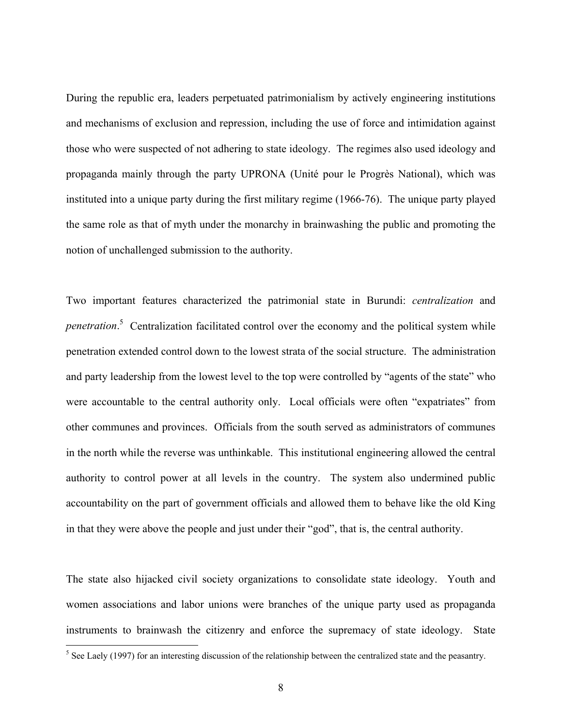During the republic era, leaders perpetuated patrimonialism by actively engineering institutions and mechanisms of exclusion and repression, including the use of force and intimidation against those who were suspected of not adhering to state ideology. The regimes also used ideology and propaganda mainly through the party UPRONA (Unité pour le Progrès National), which was instituted into a unique party during the first military regime (1966-76). The unique party played the same role as that of myth under the monarchy in brainwashing the public and promoting the notion of unchallenged submission to the authority.

Two important features characterized the patrimonial state in Burundi: *centralization* and *penetration*. 5 Centralization facilitated control over the economy and the political system while penetration extended control down to the lowest strata of the social structure. The administration and party leadership from the lowest level to the top were controlled by "agents of the state" who were accountable to the central authority only. Local officials were often "expatriates" from other communes and provinces. Officials from the south served as administrators of communes in the north while the reverse was unthinkable. This institutional engineering allowed the central authority to control power at all levels in the country. The system also undermined public accountability on the part of government officials and allowed them to behave like the old King in that they were above the people and just under their "god", that is, the central authority.

The state also hijacked civil society organizations to consolidate state ideology. Youth and women associations and labor unions were branches of the unique party used as propaganda instruments to brainwash the citizenry and enforce the supremacy of state ideology. State

<sup>&</sup>lt;sup>5</sup> See Laely (1997) for an interesting discussion of the relationship between the centralized state and the peasantry.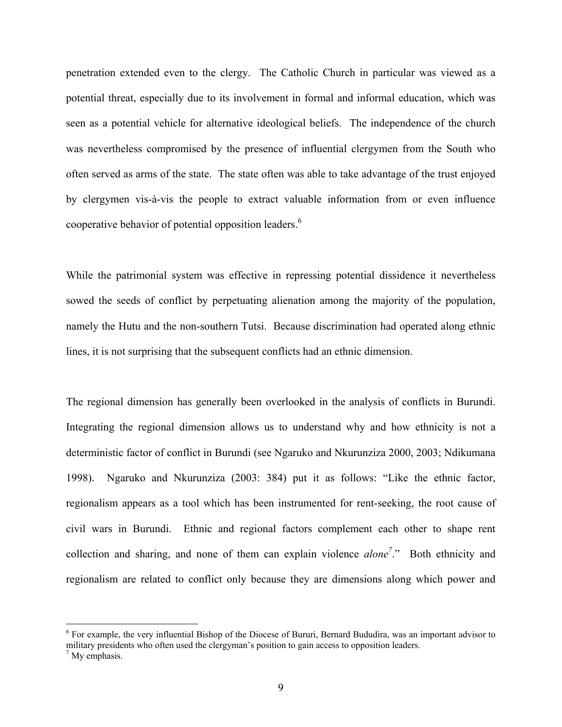penetration extended even to the clergy. The Catholic Church in particular was viewed as a potential threat, especially due to its involvement in formal and informal education, which was seen as a potential vehicle for alternative ideological beliefs. The independence of the church was nevertheless compromised by the presence of influential clergymen from the South who often served as arms of the state. The state often was able to take advantage of the trust enjoyed by clergymen vis-à-vis the people to extract valuable information from or even influence cooperative behavior of potential opposition leaders.<sup>6</sup>

While the patrimonial system was effective in repressing potential dissidence it nevertheless sowed the seeds of conflict by perpetuating alienation among the majority of the population, namely the Hutu and the non-southern Tutsi. Because discrimination had operated along ethnic lines, it is not surprising that the subsequent conflicts had an ethnic dimension.

The regional dimension has generally been overlooked in the analysis of conflicts in Burundi. Integrating the regional dimension allows us to understand why and how ethnicity is not a deterministic factor of conflict in Burundi (see Ngaruko and Nkurunziza 2000, 2003; Ndikumana 1998). Ngaruko and Nkurunziza (2003: 384) put it as follows: "Like the ethnic factor, regionalism appears as a tool which has been instrumented for rent-seeking, the root cause of civil wars in Burundi. Ethnic and regional factors complement each other to shape rent collection and sharing, and none of them can explain violence *alone7* ." Both ethnicity and regionalism are related to conflict only because they are dimensions along which power and

 $\overline{a}$ 

<sup>&</sup>lt;sup>6</sup> For example, the very influential Bishop of the Diocese of Bururi, Bernard Bududira, was an important advisor to military presidents who often used the clergyman's position to gain access to opposition leaders. 7

 $<sup>7</sup>$  My emphasis.</sup>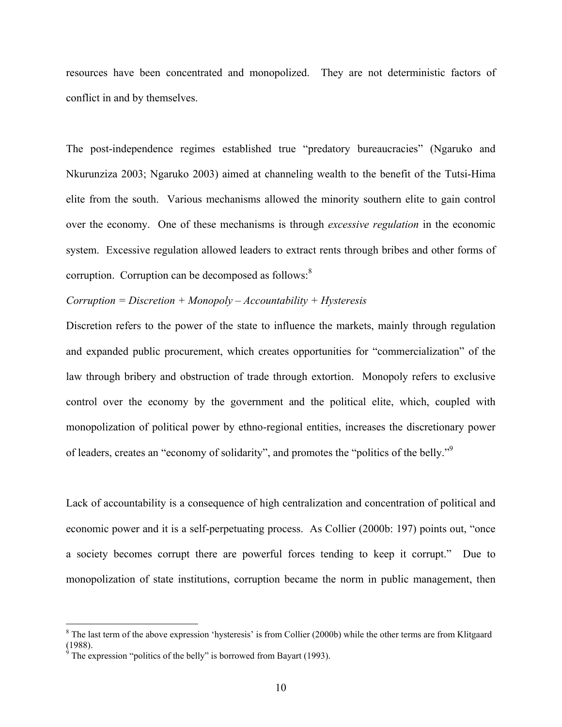resources have been concentrated and monopolized. They are not deterministic factors of conflict in and by themselves.

The post-independence regimes established true "predatory bureaucracies" (Ngaruko and Nkurunziza 2003; Ngaruko 2003) aimed at channeling wealth to the benefit of the Tutsi-Hima elite from the south. Various mechanisms allowed the minority southern elite to gain control over the economy. One of these mechanisms is through *excessive regulation* in the economic system. Excessive regulation allowed leaders to extract rents through bribes and other forms of corruption. Corruption can be decomposed as follows:<sup>8</sup>

#### *Corruption = Discretion + Monopoly – Accountability + Hysteresis*

Discretion refers to the power of the state to influence the markets, mainly through regulation and expanded public procurement, which creates opportunities for "commercialization" of the law through bribery and obstruction of trade through extortion. Monopoly refers to exclusive control over the economy by the government and the political elite, which, coupled with monopolization of political power by ethno-regional entities, increases the discretionary power of leaders, creates an "economy of solidarity", and promotes the "politics of the belly."<sup>9</sup>

Lack of accountability is a consequence of high centralization and concentration of political and economic power and it is a self-perpetuating process. As Collier (2000b: 197) points out, "once a society becomes corrupt there are powerful forces tending to keep it corrupt." Due to monopolization of state institutions, corruption became the norm in public management, then

<sup>&</sup>lt;sup>8</sup> The last term of the above expression 'hysteresis' is from Collier (2000b) while the other terms are from Klitgaard  $(1988)$ .

The expression "politics of the belly" is borrowed from Bayart (1993).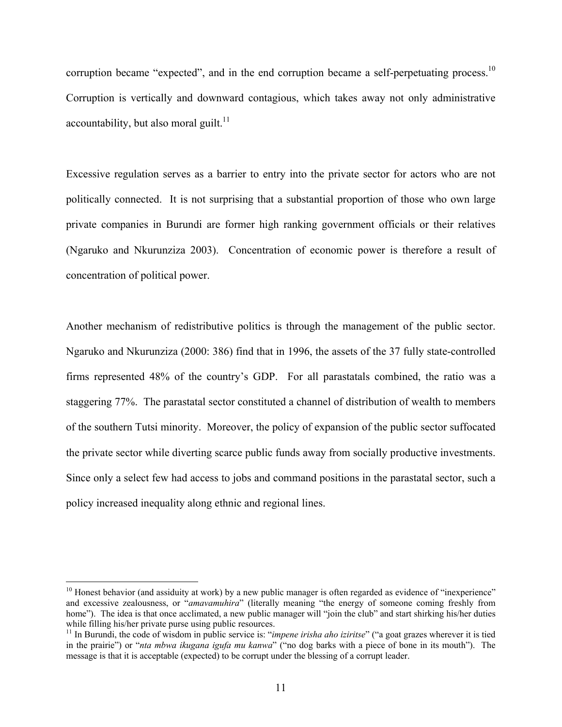corruption became "expected", and in the end corruption became a self-perpetuating process.<sup>10</sup> Corruption is vertically and downward contagious, which takes away not only administrative accountability, but also moral guilt.<sup>11</sup>

Excessive regulation serves as a barrier to entry into the private sector for actors who are not politically connected. It is not surprising that a substantial proportion of those who own large private companies in Burundi are former high ranking government officials or their relatives (Ngaruko and Nkurunziza 2003). Concentration of economic power is therefore a result of concentration of political power.

Another mechanism of redistributive politics is through the management of the public sector. Ngaruko and Nkurunziza (2000: 386) find that in 1996, the assets of the 37 fully state-controlled firms represented 48% of the country's GDP. For all parastatals combined, the ratio was a staggering 77%. The parastatal sector constituted a channel of distribution of wealth to members of the southern Tutsi minority. Moreover, the policy of expansion of the public sector suffocated the private sector while diverting scarce public funds away from socially productive investments. Since only a select few had access to jobs and command positions in the parastatal sector, such a policy increased inequality along ethnic and regional lines.

 $\overline{a}$ 

 $10$  Honest behavior (and assiduity at work) by a new public manager is often regarded as evidence of "inexperience" and excessive zealousness, or "*amavamuhira*" (literally meaning "the energy of someone coming freshly from home"). The idea is that once acclimated, a new public manager will "join the club" and start shirking his/her duties while filling his/her private purse using public resources.

<sup>&</sup>lt;sup>11</sup> In Burundi, the code of wisdom in public service is: "*impene irisha aho iziritse*" ("a goat grazes wherever it is tied in the prairie") or "*nta mbwa ikugana igufa mu kanwa*" ("no dog barks with a piece of bone in its mouth"). The message is that it is acceptable (expected) to be corrupt under the blessing of a corrupt leader.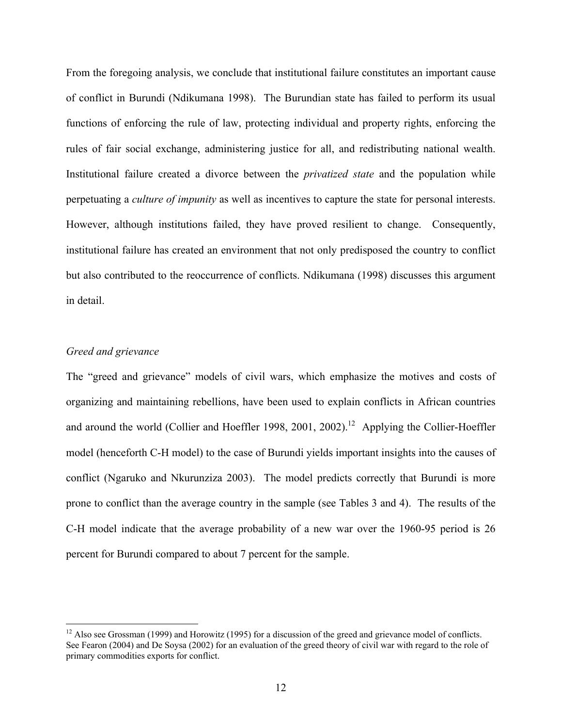From the foregoing analysis, we conclude that institutional failure constitutes an important cause of conflict in Burundi (Ndikumana 1998). The Burundian state has failed to perform its usual functions of enforcing the rule of law, protecting individual and property rights, enforcing the rules of fair social exchange, administering justice for all, and redistributing national wealth. Institutional failure created a divorce between the *privatized state* and the population while perpetuating a *culture of impunity* as well as incentives to capture the state for personal interests. However, although institutions failed, they have proved resilient to change. Consequently, institutional failure has created an environment that not only predisposed the country to conflict but also contributed to the reoccurrence of conflicts. Ndikumana (1998) discusses this argument in detail.

#### *Greed and grievance*

1

The "greed and grievance" models of civil wars, which emphasize the motives and costs of organizing and maintaining rebellions, have been used to explain conflicts in African countries and around the world (Collier and Hoeffler 1998, 2001, 2002).<sup>12</sup> Applying the Collier-Hoeffler model (henceforth C-H model) to the case of Burundi yields important insights into the causes of conflict (Ngaruko and Nkurunziza 2003). The model predicts correctly that Burundi is more prone to conflict than the average country in the sample (see Tables 3 and 4). The results of the C-H model indicate that the average probability of a new war over the 1960-95 period is 26 percent for Burundi compared to about 7 percent for the sample.

<sup>&</sup>lt;sup>12</sup> Also see Grossman (1999) and Horowitz (1995) for a discussion of the greed and grievance model of conflicts. See Fearon (2004) and De Soysa (2002) for an evaluation of the greed theory of civil war with regard to the role of primary commodities exports for conflict.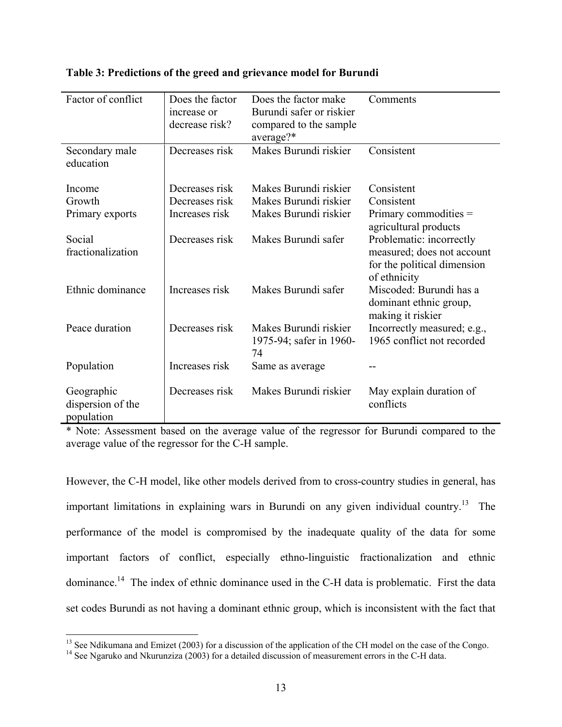| Factor of conflict                            | Does the factor | Does the factor make                                   | Comments                                                                                              |  |  |
|-----------------------------------------------|-----------------|--------------------------------------------------------|-------------------------------------------------------------------------------------------------------|--|--|
|                                               | increase or     | Burundi safer or riskier                               |                                                                                                       |  |  |
|                                               | decrease risk?  | compared to the sample<br>average?*                    |                                                                                                       |  |  |
| Secondary male<br>education                   | Decreases risk  | Makes Burundi riskier                                  | Consistent                                                                                            |  |  |
| Income                                        | Decreases risk  | Makes Burundi riskier                                  | Consistent                                                                                            |  |  |
| Growth                                        | Decreases risk  | Makes Burundi riskier                                  | Consistent                                                                                            |  |  |
| Primary exports                               | Increases risk  | Makes Burundi riskier                                  | Primary commodities $=$<br>agricultural products                                                      |  |  |
| Social<br>fractionalization                   | Decreases risk  | Makes Burundi safer                                    | Problematic: incorrectly<br>measured; does not account<br>for the political dimension<br>of ethnicity |  |  |
| Ethnic dominance                              | Increases risk  | Makes Burundi safer                                    | Miscoded: Burundi has a<br>dominant ethnic group,<br>making it riskier                                |  |  |
| Peace duration                                | Decreases risk  | Makes Burundi riskier<br>1975-94; safer in 1960-<br>74 | Incorrectly measured; e.g.,<br>1965 conflict not recorded                                             |  |  |
| Population                                    | Increases risk  | Same as average                                        |                                                                                                       |  |  |
| Geographic<br>dispersion of the<br>population | Decreases risk  | Makes Burundi riskier                                  | May explain duration of<br>conflicts                                                                  |  |  |

#### **Table 3: Predictions of the greed and grievance model for Burundi**

\* Note: Assessment based on the average value of the regressor for Burundi compared to the average value of the regressor for the C-H sample.

However, the C-H model, like other models derived from to cross-country studies in general, has important limitations in explaining wars in Burundi on any given individual country.<sup>13</sup> The performance of the model is compromised by the inadequate quality of the data for some important factors of conflict, especially ethno-linguistic fractionalization and ethnic dominance.14 The index of ethnic dominance used in the C-H data is problematic. First the data set codes Burundi as not having a dominant ethnic group, which is inconsistent with the fact that

<sup>&</sup>lt;sup>13</sup> See Ndikumana and Emizet (2003) for a discussion of the application of the CH model on the case of the Congo.

<sup>&</sup>lt;sup>14</sup> See Ngaruko and Nkurunziza (2003) for a discussion of the application of the CH data.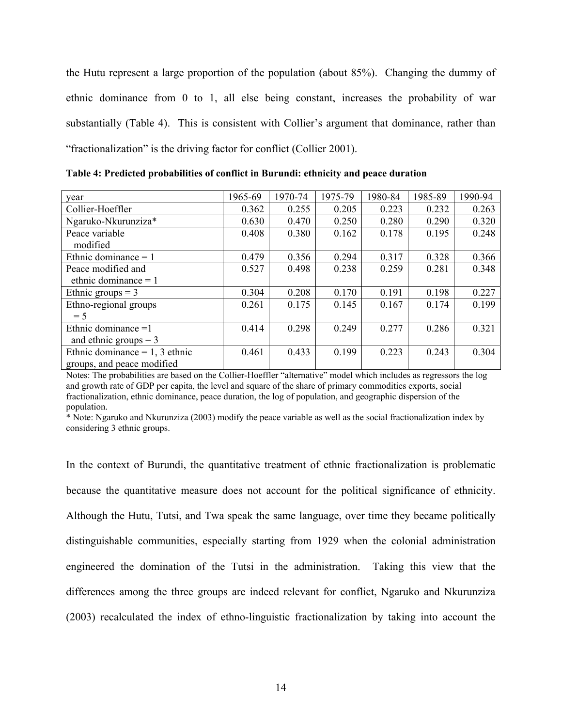the Hutu represent a large proportion of the population (about 85%). Changing the dummy of ethnic dominance from 0 to 1, all else being constant, increases the probability of war substantially (Table 4). This is consistent with Collier's argument that dominance, rather than "fractionalization" is the driving factor for conflict (Collier 2001).

| year                             | 1965-69 | 1970-74 | 1975-79 | 1980-84 | 1985-89 | 1990-94 |
|----------------------------------|---------|---------|---------|---------|---------|---------|
| Collier-Hoeffler                 | 0.362   | 0.255   | 0.205   | 0.223   | 0.232   | 0.263   |
| Ngaruko-Nkurunziza*              | 0.630   | 0.470   | 0.250   | 0.280   | 0.290   | 0.320   |
| Peace variable                   | 0.408   | 0.380   | 0.162   | 0.178   | 0.195   | 0.248   |
| modified                         |         |         |         |         |         |         |
| Ethnic dominance $= 1$           | 0.479   | 0.356   | 0.294   | 0.317   | 0.328   | 0.366   |
| Peace modified and               | 0.527   | 0.498   | 0.238   | 0.259   | 0.281   | 0.348   |
| ethnic dominance $= 1$           |         |         |         |         |         |         |
| Ethnic groups $=$ 3              | 0.304   | 0.208   | 0.170   | 0.191   | 0.198   | 0.227   |
| Ethno-regional groups            | 0.261   | 0.175   | 0.145   | 0.167   | 0.174   | 0.199   |
| $= 5$                            |         |         |         |         |         |         |
| Ethnic dominance $=1$            | 0.414   | 0.298   | 0.249   | 0.277   | 0.286   | 0.321   |
| and ethnic groups $=$ 3          |         |         |         |         |         |         |
| Ethnic dominance = $1, 3$ ethnic | 0.461   | 0.433   | 0.199   | 0.223   | 0.243   | 0.304   |
| groups, and peace modified       |         |         |         |         |         |         |

**Table 4: Predicted probabilities of conflict in Burundi: ethnicity and peace duration** 

Notes: The probabilities are based on the Collier-Hoeffler "alternative" model which includes as regressors the log and growth rate of GDP per capita, the level and square of the share of primary commodities exports, social fractionalization, ethnic dominance, peace duration, the log of population, and geographic dispersion of the population.

\* Note: Ngaruko and Nkurunziza (2003) modify the peace variable as well as the social fractionalization index by considering 3 ethnic groups.

In the context of Burundi, the quantitative treatment of ethnic fractionalization is problematic because the quantitative measure does not account for the political significance of ethnicity. Although the Hutu, Tutsi, and Twa speak the same language, over time they became politically distinguishable communities, especially starting from 1929 when the colonial administration engineered the domination of the Tutsi in the administration. Taking this view that the differences among the three groups are indeed relevant for conflict, Ngaruko and Nkurunziza (2003) recalculated the index of ethno-linguistic fractionalization by taking into account the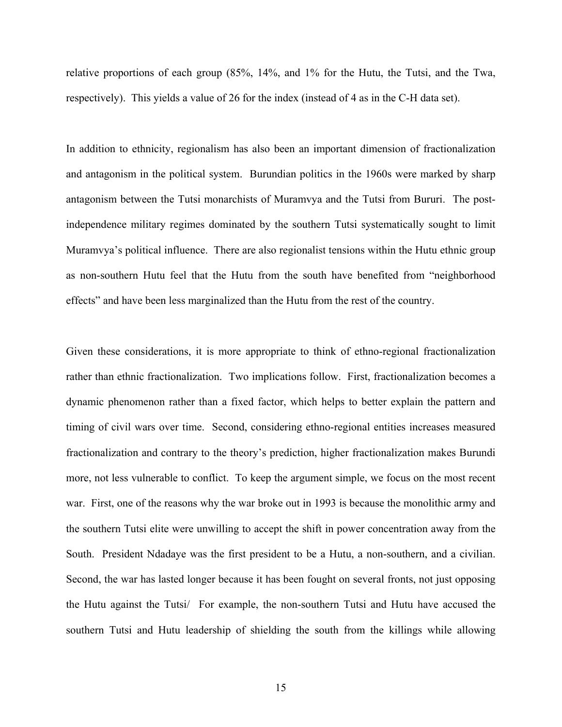relative proportions of each group (85%, 14%, and 1% for the Hutu, the Tutsi, and the Twa, respectively). This yields a value of 26 for the index (instead of 4 as in the C-H data set).

In addition to ethnicity, regionalism has also been an important dimension of fractionalization and antagonism in the political system. Burundian politics in the 1960s were marked by sharp antagonism between the Tutsi monarchists of Muramvya and the Tutsi from Bururi. The postindependence military regimes dominated by the southern Tutsi systematically sought to limit Muramvya's political influence. There are also regionalist tensions within the Hutu ethnic group as non-southern Hutu feel that the Hutu from the south have benefited from "neighborhood effects" and have been less marginalized than the Hutu from the rest of the country.

Given these considerations, it is more appropriate to think of ethno-regional fractionalization rather than ethnic fractionalization. Two implications follow. First, fractionalization becomes a dynamic phenomenon rather than a fixed factor, which helps to better explain the pattern and timing of civil wars over time. Second, considering ethno-regional entities increases measured fractionalization and contrary to the theory's prediction, higher fractionalization makes Burundi more, not less vulnerable to conflict. To keep the argument simple, we focus on the most recent war. First, one of the reasons why the war broke out in 1993 is because the monolithic army and the southern Tutsi elite were unwilling to accept the shift in power concentration away from the South. President Ndadaye was the first president to be a Hutu, a non-southern, and a civilian. Second, the war has lasted longer because it has been fought on several fronts, not just opposing the Hutu against the Tutsi/ For example, the non-southern Tutsi and Hutu have accused the southern Tutsi and Hutu leadership of shielding the south from the killings while allowing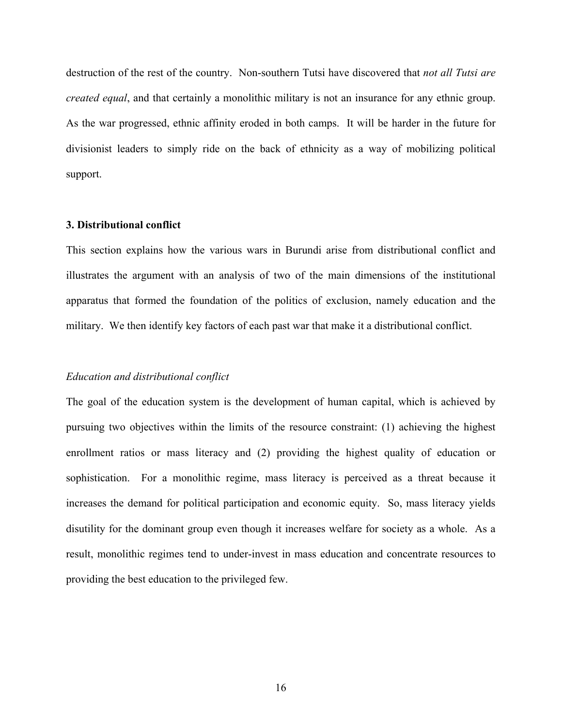destruction of the rest of the country. Non-southern Tutsi have discovered that *not all Tutsi are created equal*, and that certainly a monolithic military is not an insurance for any ethnic group. As the war progressed, ethnic affinity eroded in both camps. It will be harder in the future for divisionist leaders to simply ride on the back of ethnicity as a way of mobilizing political support.

#### **3. Distributional conflict**

This section explains how the various wars in Burundi arise from distributional conflict and illustrates the argument with an analysis of two of the main dimensions of the institutional apparatus that formed the foundation of the politics of exclusion, namely education and the military. We then identify key factors of each past war that make it a distributional conflict.

#### *Education and distributional conflict*

The goal of the education system is the development of human capital, which is achieved by pursuing two objectives within the limits of the resource constraint: (1) achieving the highest enrollment ratios or mass literacy and (2) providing the highest quality of education or sophistication. For a monolithic regime, mass literacy is perceived as a threat because it increases the demand for political participation and economic equity. So, mass literacy yields disutility for the dominant group even though it increases welfare for society as a whole. As a result, monolithic regimes tend to under-invest in mass education and concentrate resources to providing the best education to the privileged few.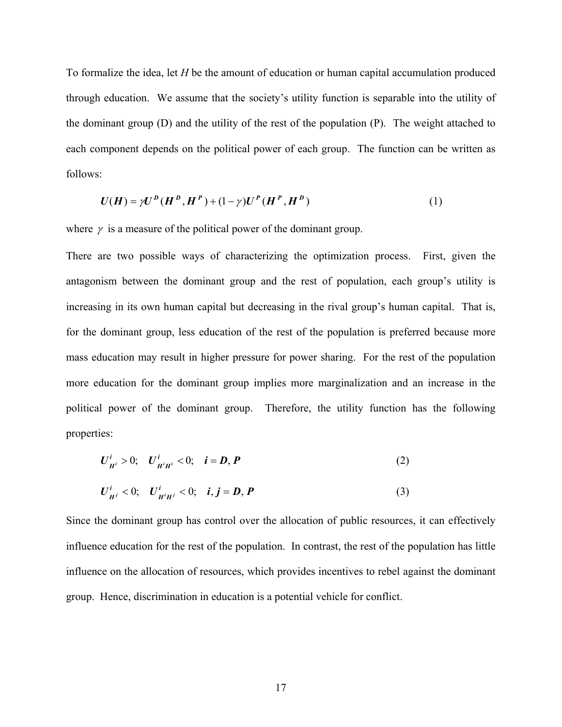To formalize the idea, let *H* be the amount of education or human capital accumulation produced through education. We assume that the society's utility function is separable into the utility of the dominant group (D) and the utility of the rest of the population (P). The weight attached to each component depends on the political power of each group. The function can be written as follows:

$$
U(H) = \gamma U^{D} (H^{D}, H^{P}) + (1 - \gamma) U^{P} (H^{P}, H^{D})
$$
\n(1)

where  $\gamma$  is a measure of the political power of the dominant group.

There are two possible ways of characterizing the optimization process. First, given the antagonism between the dominant group and the rest of population, each group's utility is increasing in its own human capital but decreasing in the rival group's human capital. That is, for the dominant group, less education of the rest of the population is preferred because more mass education may result in higher pressure for power sharing. For the rest of the population more education for the dominant group implies more marginalization and an increase in the political power of the dominant group. Therefore, the utility function has the following properties:

$$
U_{H^i}^i > 0; \quad U_{H^i H^i}^i < 0; \quad i = D, P
$$
 (2)

$$
U_{H^{j}}^{i} < 0; \quad U_{H^{i}H^{j}}^{i} < 0; \quad i, j = D, P
$$
 (3)

Since the dominant group has control over the allocation of public resources, it can effectively influence education for the rest of the population. In contrast, the rest of the population has little influence on the allocation of resources, which provides incentives to rebel against the dominant group. Hence, discrimination in education is a potential vehicle for conflict.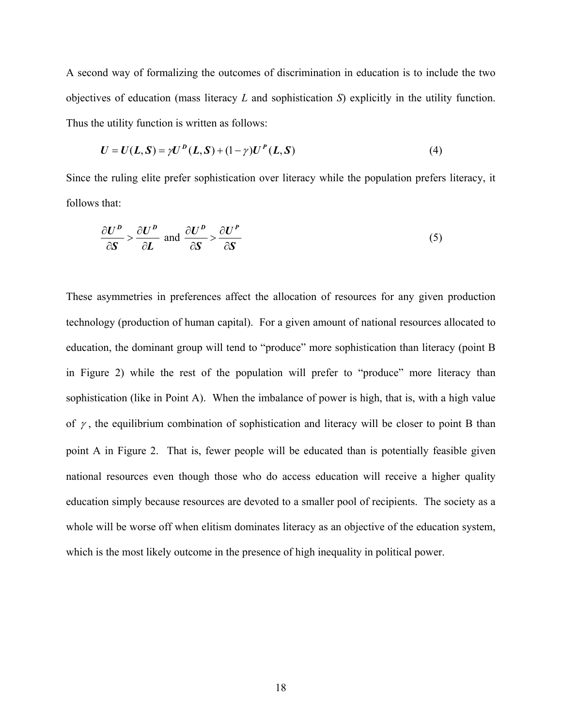A second way of formalizing the outcomes of discrimination in education is to include the two objectives of education (mass literacy *L* and sophistication *S*) explicitly in the utility function. Thus the utility function is written as follows:

$$
U = U(L, S) = \gamma U^{D}(L, S) + (1 - \gamma)U^{P}(L, S)
$$
\n(4)

Since the ruling elite prefer sophistication over literacy while the population prefers literacy, it follows that:

$$
\frac{\partial U^P}{\partial S} > \frac{\partial U^P}{\partial L} \text{ and } \frac{\partial U^P}{\partial S} > \frac{\partial U^P}{\partial S}
$$
 (5)

These asymmetries in preferences affect the allocation of resources for any given production technology (production of human capital). For a given amount of national resources allocated to education, the dominant group will tend to "produce" more sophistication than literacy (point B in Figure 2) while the rest of the population will prefer to "produce" more literacy than sophistication (like in Point A). When the imbalance of power is high, that is, with a high value of  $\gamma$ , the equilibrium combination of sophistication and literacy will be closer to point B than point A in Figure 2. That is, fewer people will be educated than is potentially feasible given national resources even though those who do access education will receive a higher quality education simply because resources are devoted to a smaller pool of recipients. The society as a whole will be worse off when elitism dominates literacy as an objective of the education system, which is the most likely outcome in the presence of high inequality in political power.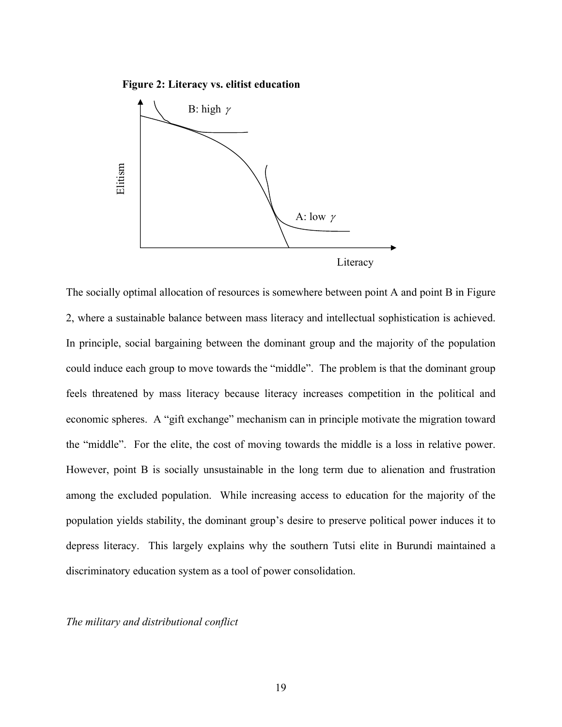**Figure 2: Literacy vs. elitist education**



The socially optimal allocation of resources is somewhere between point A and point B in Figure 2, where a sustainable balance between mass literacy and intellectual sophistication is achieved. In principle, social bargaining between the dominant group and the majority of the population could induce each group to move towards the "middle". The problem is that the dominant group feels threatened by mass literacy because literacy increases competition in the political and economic spheres. A "gift exchange" mechanism can in principle motivate the migration toward the "middle". For the elite, the cost of moving towards the middle is a loss in relative power. However, point B is socially unsustainable in the long term due to alienation and frustration among the excluded population. While increasing access to education for the majority of the population yields stability, the dominant group's desire to preserve political power induces it to depress literacy. This largely explains why the southern Tutsi elite in Burundi maintained a discriminatory education system as a tool of power consolidation.

*The military and distributional conflict*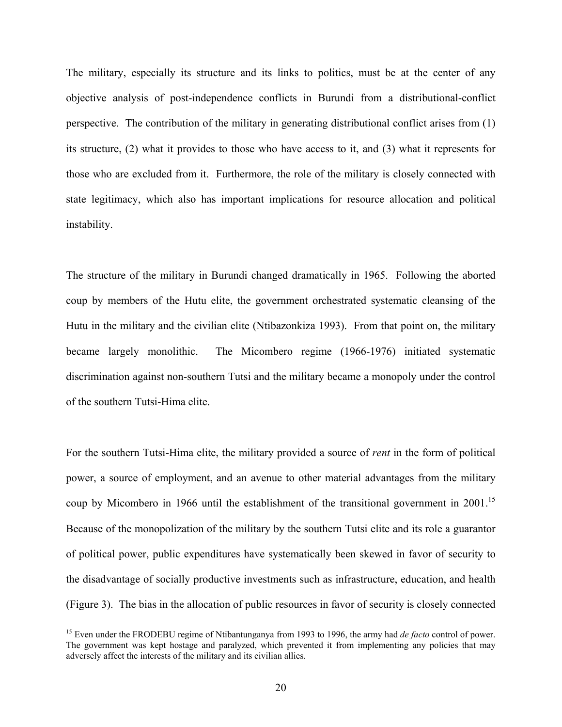The military, especially its structure and its links to politics, must be at the center of any objective analysis of post-independence conflicts in Burundi from a distributional-conflict perspective. The contribution of the military in generating distributional conflict arises from (1) its structure, (2) what it provides to those who have access to it, and (3) what it represents for those who are excluded from it. Furthermore, the role of the military is closely connected with state legitimacy, which also has important implications for resource allocation and political instability.

The structure of the military in Burundi changed dramatically in 1965. Following the aborted coup by members of the Hutu elite, the government orchestrated systematic cleansing of the Hutu in the military and the civilian elite (Ntibazonkiza 1993). From that point on, the military became largely monolithic. The Micombero regime (1966-1976) initiated systematic discrimination against non-southern Tutsi and the military became a monopoly under the control of the southern Tutsi-Hima elite.

For the southern Tutsi-Hima elite, the military provided a source of *rent* in the form of political power, a source of employment, and an avenue to other material advantages from the military coup by Micombero in 1966 until the establishment of the transitional government in 2001.<sup>15</sup> Because of the monopolization of the military by the southern Tutsi elite and its role a guarantor of political power, public expenditures have systematically been skewed in favor of security to the disadvantage of socially productive investments such as infrastructure, education, and health (Figure 3). The bias in the allocation of public resources in favor of security is closely connected

1

<sup>&</sup>lt;sup>15</sup> Even under the FRODEBU regime of Ntibantunganya from 1993 to 1996, the army had *de facto* control of power. The government was kept hostage and paralyzed, which prevented it from implementing any policies that may adversely affect the interests of the military and its civilian allies.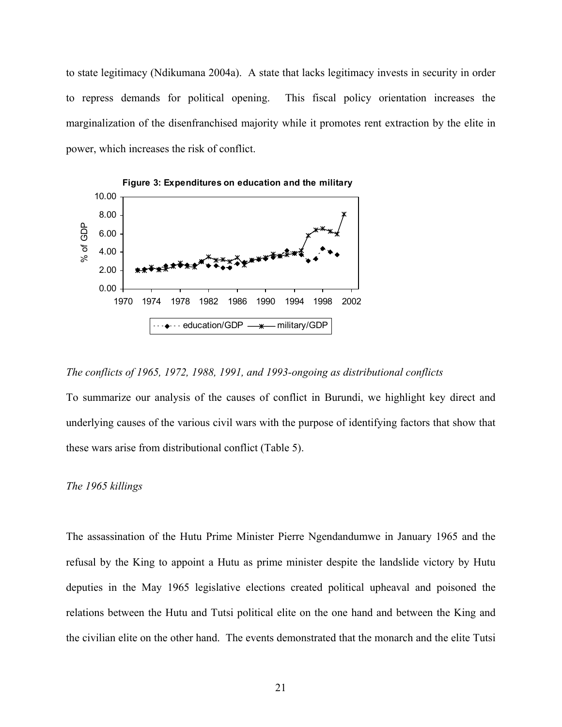to state legitimacy (Ndikumana 2004a). A state that lacks legitimacy invests in security in order to repress demands for political opening. This fiscal policy orientation increases the marginalization of the disenfranchised majority while it promotes rent extraction by the elite in power, which increases the risk of conflict.



*The conflicts of 1965, 1972, 1988, 1991, and 1993-ongoing as distributional conflicts* 

To summarize our analysis of the causes of conflict in Burundi, we highlight key direct and underlying causes of the various civil wars with the purpose of identifying factors that show that these wars arise from distributional conflict (Table 5).

#### *The 1965 killings*

The assassination of the Hutu Prime Minister Pierre Ngendandumwe in January 1965 and the refusal by the King to appoint a Hutu as prime minister despite the landslide victory by Hutu deputies in the May 1965 legislative elections created political upheaval and poisoned the relations between the Hutu and Tutsi political elite on the one hand and between the King and the civilian elite on the other hand. The events demonstrated that the monarch and the elite Tutsi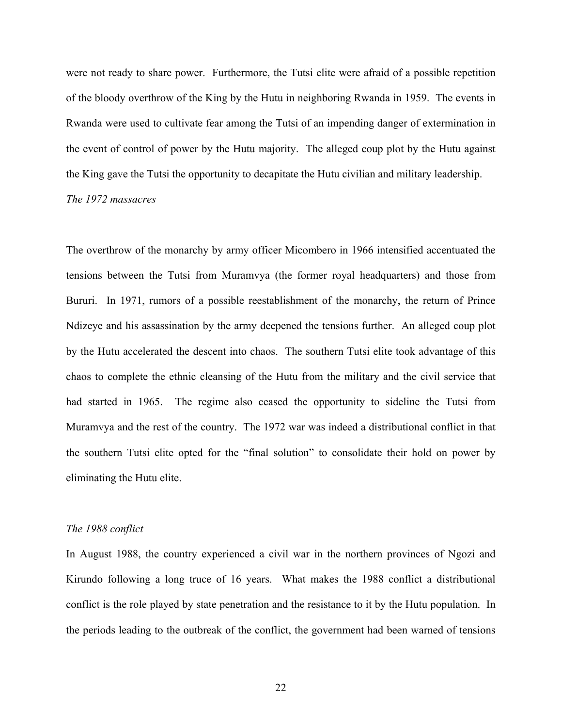were not ready to share power. Furthermore, the Tutsi elite were afraid of a possible repetition of the bloody overthrow of the King by the Hutu in neighboring Rwanda in 1959. The events in Rwanda were used to cultivate fear among the Tutsi of an impending danger of extermination in the event of control of power by the Hutu majority. The alleged coup plot by the Hutu against the King gave the Tutsi the opportunity to decapitate the Hutu civilian and military leadership.

#### *The 1972 massacres*

The overthrow of the monarchy by army officer Micombero in 1966 intensified accentuated the tensions between the Tutsi from Muramvya (the former royal headquarters) and those from Bururi. In 1971, rumors of a possible reestablishment of the monarchy, the return of Prince Ndizeye and his assassination by the army deepened the tensions further. An alleged coup plot by the Hutu accelerated the descent into chaos. The southern Tutsi elite took advantage of this chaos to complete the ethnic cleansing of the Hutu from the military and the civil service that had started in 1965. The regime also ceased the opportunity to sideline the Tutsi from Muramvya and the rest of the country. The 1972 war was indeed a distributional conflict in that the southern Tutsi elite opted for the "final solution" to consolidate their hold on power by eliminating the Hutu elite.

#### *The 1988 conflict*

In August 1988, the country experienced a civil war in the northern provinces of Ngozi and Kirundo following a long truce of 16 years. What makes the 1988 conflict a distributional conflict is the role played by state penetration and the resistance to it by the Hutu population. In the periods leading to the outbreak of the conflict, the government had been warned of tensions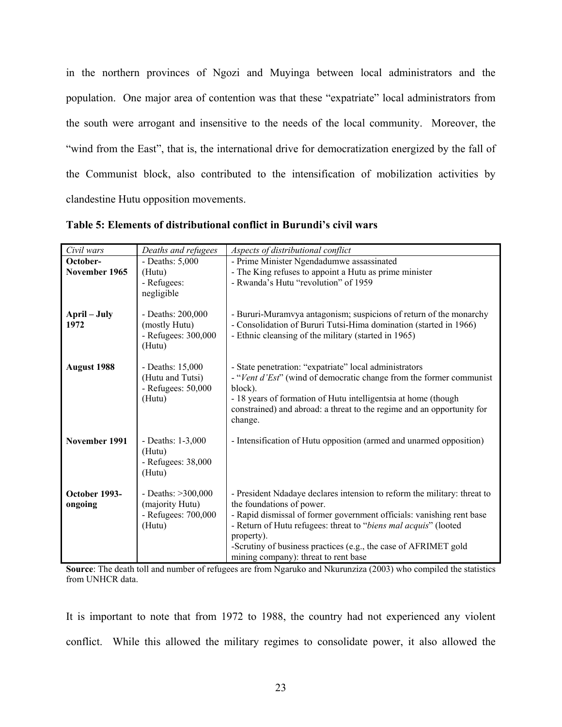in the northern provinces of Ngozi and Muyinga between local administrators and the population. One major area of contention was that these "expatriate" local administrators from the south were arrogant and insensitive to the needs of the local community. Moreover, the "wind from the East", that is, the international drive for democratization energized by the fall of the Communist block, also contributed to the intensification of mobilization activities by clandestine Hutu opposition movements.

| Civil wars    | Deaths and refugees                      | Aspects of distributional conflict                                             |
|---------------|------------------------------------------|--------------------------------------------------------------------------------|
| October-      | - Deaths: $5,000$                        | - Prime Minister Ngendadumwe assassinated                                      |
| November 1965 | (Hutu)                                   | - The King refuses to appoint a Hutu as prime minister                         |
|               | - Refugees:                              | - Rwanda's Hutu "revolution" of 1959                                           |
|               | negligible                               |                                                                                |
|               |                                          |                                                                                |
| April – July  | - Deaths: 200,000                        | - Bururi-Muramvya antagonism; suspicions of return of the monarchy             |
| 1972          | (mostly Hutu)                            | - Consolidation of Bururi Tutsi-Hima domination (started in 1966)              |
|               | - Refugees: 300,000                      | - Ethnic cleansing of the military (started in 1965)                           |
|               | (Hutu)                                   |                                                                                |
|               |                                          |                                                                                |
| August 1988   | - Deaths: 15,000                         | - State penetration: "expatriate" local administrators                         |
|               | (Hutu and Tutsi)<br>- Refugees: $50,000$ | - "Vent d'Est" (wind of democratic change from the former communist<br>block). |
|               | (Hutu)                                   | - 18 years of formation of Hutu intelligentsia at home (though                 |
|               |                                          | constrained) and abroad: a threat to the regime and an opportunity for         |
|               |                                          | change.                                                                        |
|               |                                          |                                                                                |
| November 1991 | - Deaths: $1-3,000$                      | - Intensification of Hutu opposition (armed and unarmed opposition)            |
|               | (Hutu)                                   |                                                                                |
|               | - Refugees: 38,000                       |                                                                                |
|               | (Hutu)                                   |                                                                                |
|               |                                          |                                                                                |
| October 1993- | - Deaths: $>300,000$                     | - President Ndadaye declares intension to reform the military: threat to       |
| ongoing       | (majority Hutu)                          | the foundations of power.                                                      |
|               | - Refugees: 700,000                      | - Rapid dismissal of former government officials: vanishing rent base          |
|               | (Hutu)                                   | - Return of Hutu refugees: threat to "biens mal acquis" (looted                |
|               |                                          | property).                                                                     |
|               |                                          | -Scrutiny of business practices (e.g., the case of AFRIMET gold                |
|               |                                          | mining company): threat to rent base                                           |

**Table 5: Elements of distributional conflict in Burundi's civil wars** 

**Source**: The death toll and number of refugees are from Ngaruko and Nkurunziza (2003) who compiled the statistics from UNHCR data.

It is important to note that from 1972 to 1988, the country had not experienced any violent conflict. While this allowed the military regimes to consolidate power, it also allowed the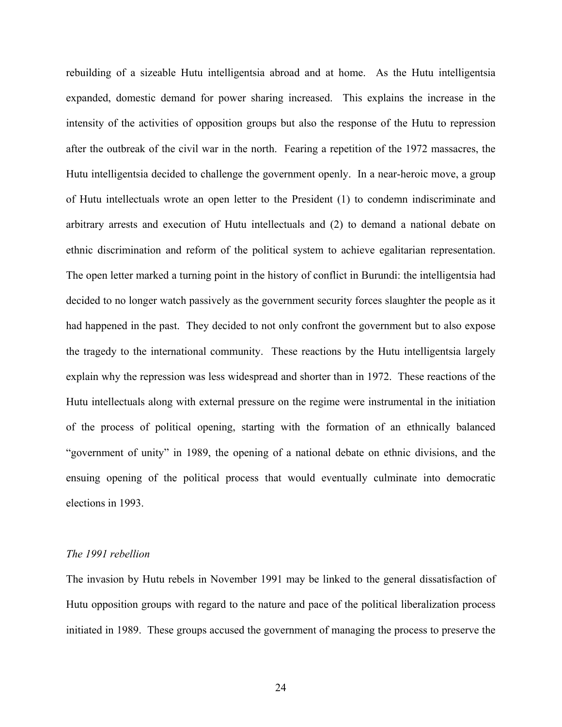rebuilding of a sizeable Hutu intelligentsia abroad and at home. As the Hutu intelligentsia expanded, domestic demand for power sharing increased. This explains the increase in the intensity of the activities of opposition groups but also the response of the Hutu to repression after the outbreak of the civil war in the north. Fearing a repetition of the 1972 massacres, the Hutu intelligentsia decided to challenge the government openly. In a near-heroic move, a group of Hutu intellectuals wrote an open letter to the President (1) to condemn indiscriminate and arbitrary arrests and execution of Hutu intellectuals and (2) to demand a national debate on ethnic discrimination and reform of the political system to achieve egalitarian representation. The open letter marked a turning point in the history of conflict in Burundi: the intelligentsia had decided to no longer watch passively as the government security forces slaughter the people as it had happened in the past. They decided to not only confront the government but to also expose the tragedy to the international community. These reactions by the Hutu intelligentsia largely explain why the repression was less widespread and shorter than in 1972. These reactions of the Hutu intellectuals along with external pressure on the regime were instrumental in the initiation of the process of political opening, starting with the formation of an ethnically balanced "government of unity" in 1989, the opening of a national debate on ethnic divisions, and the ensuing opening of the political process that would eventually culminate into democratic elections in 1993.

#### *The 1991 rebellion*

The invasion by Hutu rebels in November 1991 may be linked to the general dissatisfaction of Hutu opposition groups with regard to the nature and pace of the political liberalization process initiated in 1989. These groups accused the government of managing the process to preserve the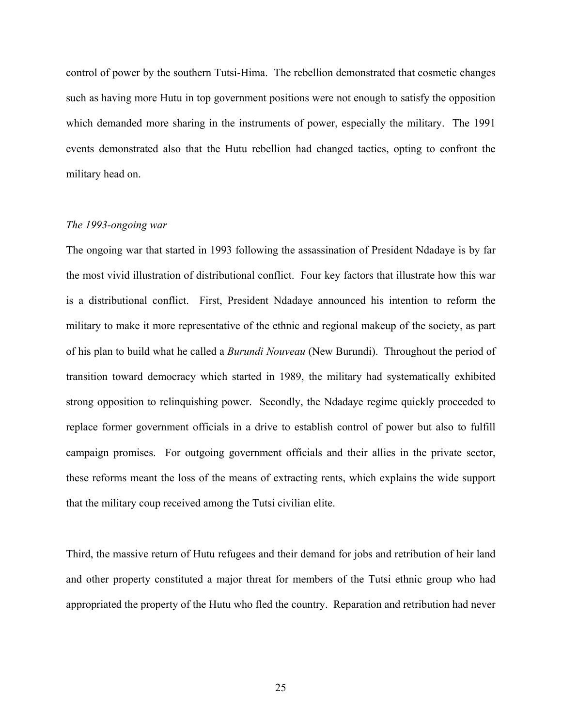control of power by the southern Tutsi-Hima. The rebellion demonstrated that cosmetic changes such as having more Hutu in top government positions were not enough to satisfy the opposition which demanded more sharing in the instruments of power, especially the military. The 1991 events demonstrated also that the Hutu rebellion had changed tactics, opting to confront the military head on.

#### *The 1993-ongoing war*

The ongoing war that started in 1993 following the assassination of President Ndadaye is by far the most vivid illustration of distributional conflict. Four key factors that illustrate how this war is a distributional conflict. First, President Ndadaye announced his intention to reform the military to make it more representative of the ethnic and regional makeup of the society, as part of his plan to build what he called a *Burundi Nouveau* (New Burundi). Throughout the period of transition toward democracy which started in 1989, the military had systematically exhibited strong opposition to relinquishing power. Secondly, the Ndadaye regime quickly proceeded to replace former government officials in a drive to establish control of power but also to fulfill campaign promises. For outgoing government officials and their allies in the private sector, these reforms meant the loss of the means of extracting rents, which explains the wide support that the military coup received among the Tutsi civilian elite.

Third, the massive return of Hutu refugees and their demand for jobs and retribution of heir land and other property constituted a major threat for members of the Tutsi ethnic group who had appropriated the property of the Hutu who fled the country. Reparation and retribution had never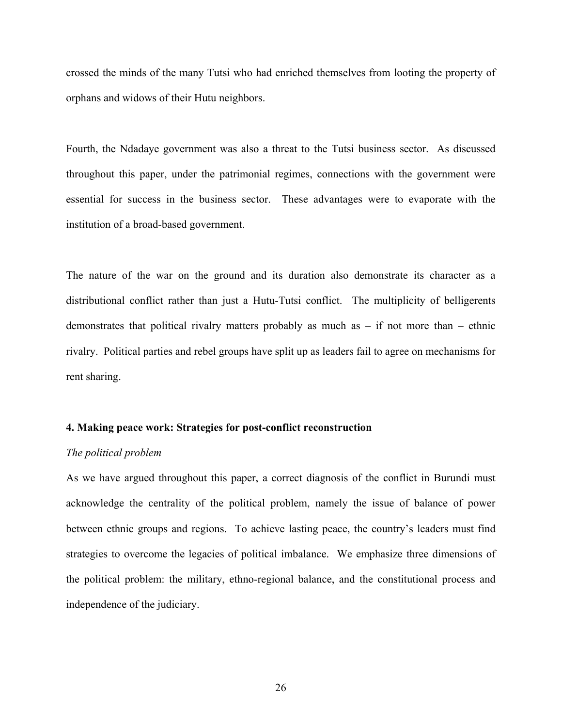crossed the minds of the many Tutsi who had enriched themselves from looting the property of orphans and widows of their Hutu neighbors.

Fourth, the Ndadaye government was also a threat to the Tutsi business sector. As discussed throughout this paper, under the patrimonial regimes, connections with the government were essential for success in the business sector. These advantages were to evaporate with the institution of a broad-based government.

The nature of the war on the ground and its duration also demonstrate its character as a distributional conflict rather than just a Hutu-Tutsi conflict. The multiplicity of belligerents demonstrates that political rivalry matters probably as much as  $-$  if not more than  $-$  ethnic rivalry. Political parties and rebel groups have split up as leaders fail to agree on mechanisms for rent sharing.

#### **4. Making peace work: Strategies for post-conflict reconstruction**

#### *The political problem*

As we have argued throughout this paper, a correct diagnosis of the conflict in Burundi must acknowledge the centrality of the political problem, namely the issue of balance of power between ethnic groups and regions. To achieve lasting peace, the country's leaders must find strategies to overcome the legacies of political imbalance. We emphasize three dimensions of the political problem: the military, ethno-regional balance, and the constitutional process and independence of the judiciary.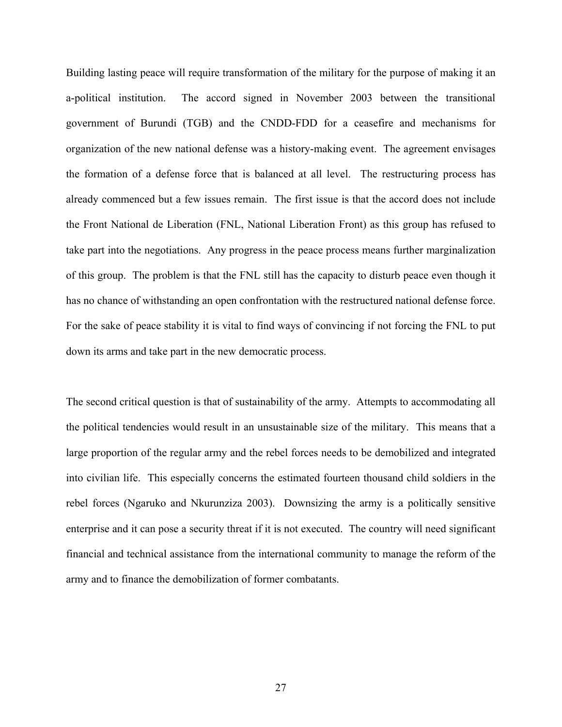Building lasting peace will require transformation of the military for the purpose of making it an a-political institution. The accord signed in November 2003 between the transitional government of Burundi (TGB) and the CNDD-FDD for a ceasefire and mechanisms for organization of the new national defense was a history-making event. The agreement envisages the formation of a defense force that is balanced at all level. The restructuring process has already commenced but a few issues remain. The first issue is that the accord does not include the Front National de Liberation (FNL, National Liberation Front) as this group has refused to take part into the negotiations. Any progress in the peace process means further marginalization of this group. The problem is that the FNL still has the capacity to disturb peace even though it has no chance of withstanding an open confrontation with the restructured national defense force. For the sake of peace stability it is vital to find ways of convincing if not forcing the FNL to put down its arms and take part in the new democratic process.

The second critical question is that of sustainability of the army. Attempts to accommodating all the political tendencies would result in an unsustainable size of the military. This means that a large proportion of the regular army and the rebel forces needs to be demobilized and integrated into civilian life. This especially concerns the estimated fourteen thousand child soldiers in the rebel forces (Ngaruko and Nkurunziza 2003). Downsizing the army is a politically sensitive enterprise and it can pose a security threat if it is not executed. The country will need significant financial and technical assistance from the international community to manage the reform of the army and to finance the demobilization of former combatants.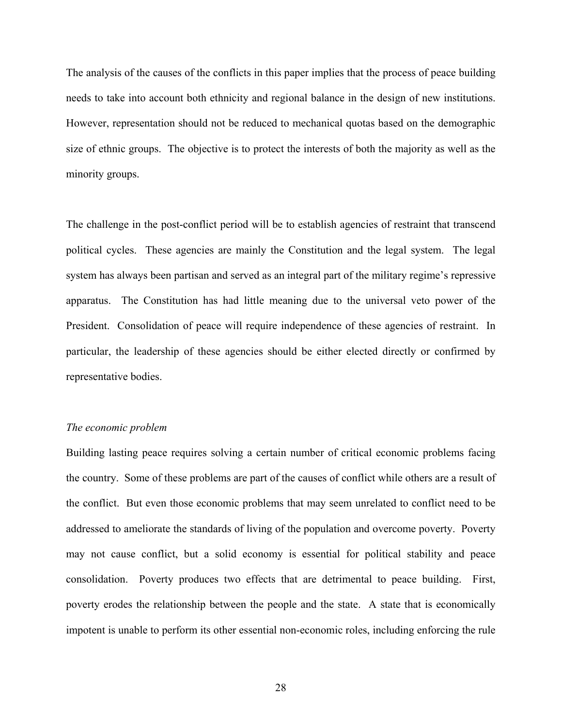The analysis of the causes of the conflicts in this paper implies that the process of peace building needs to take into account both ethnicity and regional balance in the design of new institutions. However, representation should not be reduced to mechanical quotas based on the demographic size of ethnic groups. The objective is to protect the interests of both the majority as well as the minority groups.

The challenge in the post-conflict period will be to establish agencies of restraint that transcend political cycles. These agencies are mainly the Constitution and the legal system. The legal system has always been partisan and served as an integral part of the military regime's repressive apparatus. The Constitution has had little meaning due to the universal veto power of the President. Consolidation of peace will require independence of these agencies of restraint. In particular, the leadership of these agencies should be either elected directly or confirmed by representative bodies.

#### *The economic problem*

Building lasting peace requires solving a certain number of critical economic problems facing the country. Some of these problems are part of the causes of conflict while others are a result of the conflict. But even those economic problems that may seem unrelated to conflict need to be addressed to ameliorate the standards of living of the population and overcome poverty. Poverty may not cause conflict, but a solid economy is essential for political stability and peace consolidation. Poverty produces two effects that are detrimental to peace building. First, poverty erodes the relationship between the people and the state. A state that is economically impotent is unable to perform its other essential non-economic roles, including enforcing the rule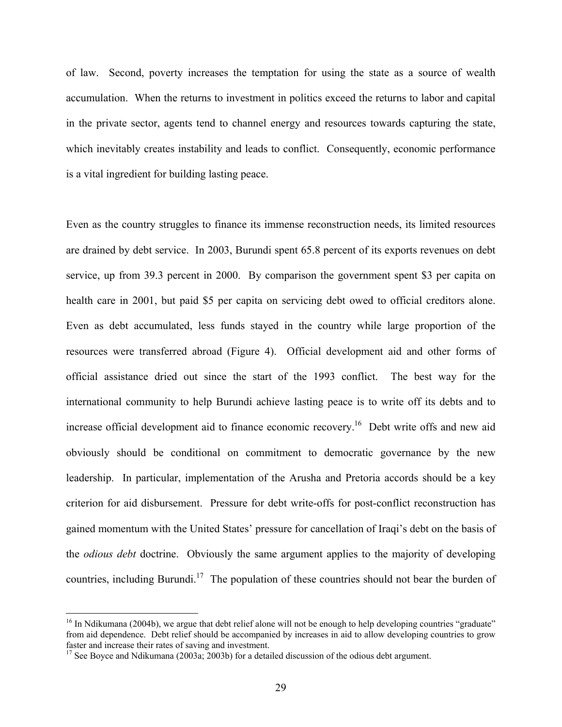of law. Second, poverty increases the temptation for using the state as a source of wealth accumulation. When the returns to investment in politics exceed the returns to labor and capital in the private sector, agents tend to channel energy and resources towards capturing the state, which inevitably creates instability and leads to conflict. Consequently, economic performance is a vital ingredient for building lasting peace.

Even as the country struggles to finance its immense reconstruction needs, its limited resources are drained by debt service. In 2003, Burundi spent 65.8 percent of its exports revenues on debt service, up from 39.3 percent in 2000. By comparison the government spent \$3 per capita on health care in 2001, but paid \$5 per capita on servicing debt owed to official creditors alone. Even as debt accumulated, less funds stayed in the country while large proportion of the resources were transferred abroad (Figure 4). Official development aid and other forms of official assistance dried out since the start of the 1993 conflict. The best way for the international community to help Burundi achieve lasting peace is to write off its debts and to increase official development aid to finance economic recovery.<sup>16</sup> Debt write offs and new aid obviously should be conditional on commitment to democratic governance by the new leadership. In particular, implementation of the Arusha and Pretoria accords should be a key criterion for aid disbursement. Pressure for debt write-offs for post-conflict reconstruction has gained momentum with the United States' pressure for cancellation of Iraqi's debt on the basis of the *odious debt* doctrine. Obviously the same argument applies to the majority of developing countries, including Burundi.<sup>17</sup> The population of these countries should not bear the burden of

 $\overline{a}$ 

 $16$  In Ndikumana (2004b), we argue that debt relief alone will not be enough to help developing countries "graduate" from aid dependence. Debt relief should be accompanied by increases in aid to allow developing countries to grow faster and increase their rates of saving and investment.

 $17$  See Boyce and Ndikumana (2003a; 2003b) for a detailed discussion of the odious debt argument.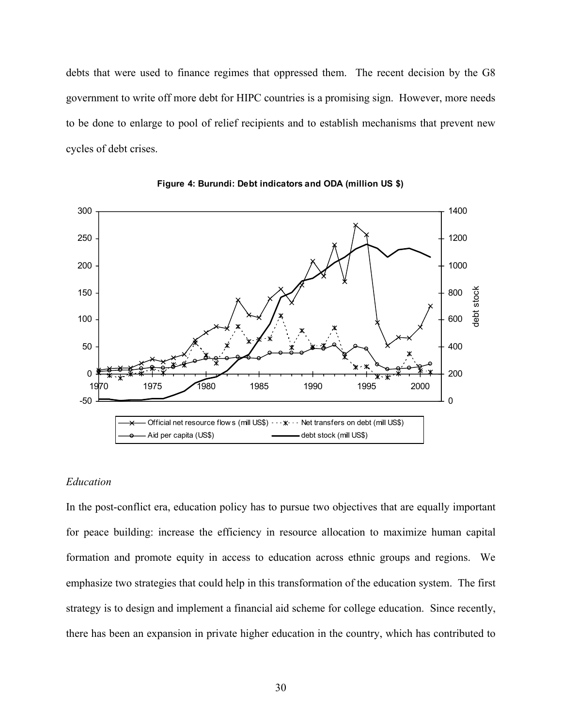debts that were used to finance regimes that oppressed them. The recent decision by the G8 government to write off more debt for HIPC countries is a promising sign. However, more needs to be done to enlarge to pool of relief recipients and to establish mechanisms that prevent new cycles of debt crises.





#### *Education*

In the post-conflict era, education policy has to pursue two objectives that are equally important for peace building: increase the efficiency in resource allocation to maximize human capital formation and promote equity in access to education across ethnic groups and regions. We emphasize two strategies that could help in this transformation of the education system. The first strategy is to design and implement a financial aid scheme for college education. Since recently, there has been an expansion in private higher education in the country, which has contributed to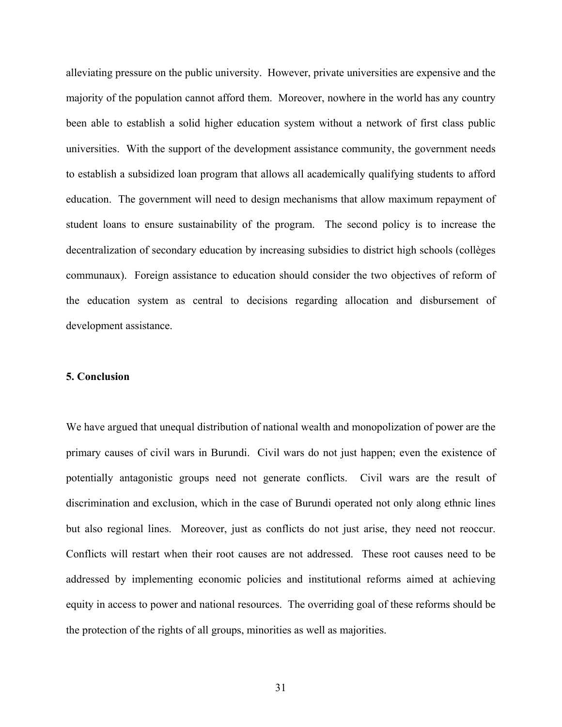alleviating pressure on the public university. However, private universities are expensive and the majority of the population cannot afford them. Moreover, nowhere in the world has any country been able to establish a solid higher education system without a network of first class public universities. With the support of the development assistance community, the government needs to establish a subsidized loan program that allows all academically qualifying students to afford education. The government will need to design mechanisms that allow maximum repayment of student loans to ensure sustainability of the program. The second policy is to increase the decentralization of secondary education by increasing subsidies to district high schools (collèges communaux). Foreign assistance to education should consider the two objectives of reform of the education system as central to decisions regarding allocation and disbursement of development assistance.

#### **5. Conclusion**

We have argued that unequal distribution of national wealth and monopolization of power are the primary causes of civil wars in Burundi. Civil wars do not just happen; even the existence of potentially antagonistic groups need not generate conflicts. Civil wars are the result of discrimination and exclusion, which in the case of Burundi operated not only along ethnic lines but also regional lines. Moreover, just as conflicts do not just arise, they need not reoccur. Conflicts will restart when their root causes are not addressed. These root causes need to be addressed by implementing economic policies and institutional reforms aimed at achieving equity in access to power and national resources. The overriding goal of these reforms should be the protection of the rights of all groups, minorities as well as majorities.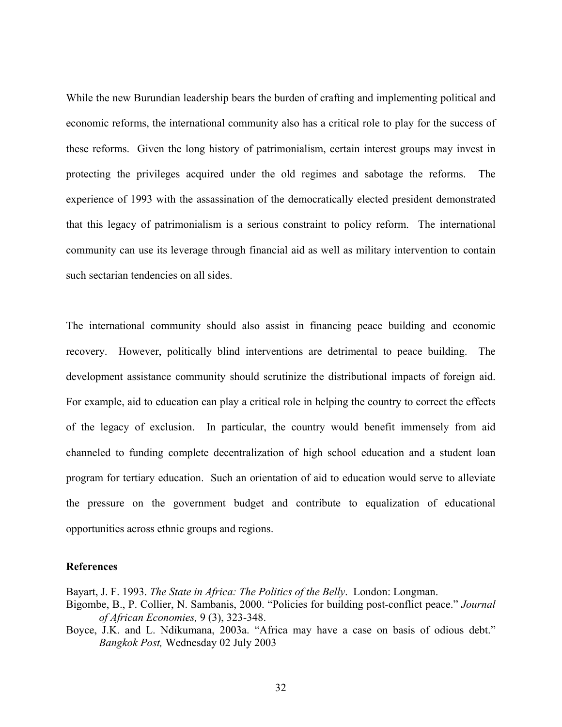While the new Burundian leadership bears the burden of crafting and implementing political and economic reforms, the international community also has a critical role to play for the success of these reforms. Given the long history of patrimonialism, certain interest groups may invest in protecting the privileges acquired under the old regimes and sabotage the reforms. The experience of 1993 with the assassination of the democratically elected president demonstrated that this legacy of patrimonialism is a serious constraint to policy reform. The international community can use its leverage through financial aid as well as military intervention to contain such sectarian tendencies on all sides.

The international community should also assist in financing peace building and economic recovery. However, politically blind interventions are detrimental to peace building. The development assistance community should scrutinize the distributional impacts of foreign aid. For example, aid to education can play a critical role in helping the country to correct the effects of the legacy of exclusion. In particular, the country would benefit immensely from aid channeled to funding complete decentralization of high school education and a student loan program for tertiary education. Such an orientation of aid to education would serve to alleviate the pressure on the government budget and contribute to equalization of educational opportunities across ethnic groups and regions.

#### **References**

Bayart, J. F. 1993. *The State in Africa: The Politics of the Belly*. London: Longman.

- Bigombe, B., P. Collier, N. Sambanis, 2000. "Policies for building post-conflict peace." *Journal of African Economies,* 9 (3), 323-348.
- Boyce, J.K. and L. Ndikumana, 2003a. "Africa may have a case on basis of odious debt." *Bangkok Post,* Wednesday 02 July 2003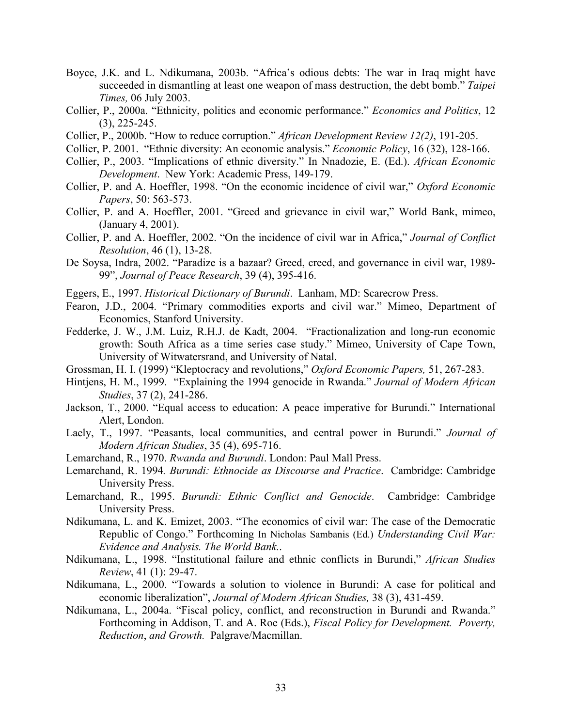- Boyce, J.K. and L. Ndikumana, 2003b. "Africa's odious debts: The war in Iraq might have succeeded in dismantling at least one weapon of mass destruction, the debt bomb." *Taipei Times,* 06 July 2003.
- Collier, P., 2000a. "Ethnicity, politics and economic performance." *Economics and Politics*, 12 (3), 225-245.
- Collier, P., 2000b. "How to reduce corruption." *African Development Review 12(2)*, 191-205.
- Collier, P. 2001. "Ethnic diversity: An economic analysis." *Economic Policy*, 16 (32), 128-166.
- Collier, P., 2003. "Implications of ethnic diversity." In Nnadozie, E. (Ed.). *African Economic Development*. New York: Academic Press, 149-179.
- Collier, P. and A. Hoeffler, 1998. "On the economic incidence of civil war," *Oxford Economic Papers*, 50: 563-573.
- Collier, P. and A. Hoeffler, 2001. "Greed and grievance in civil war," World Bank, mimeo, (January 4, 2001).
- Collier, P. and A. Hoeffler, 2002. "On the incidence of civil war in Africa," *Journal of Conflict Resolution*, 46 (1), 13-28.
- De Soysa, Indra, 2002. "Paradize is a bazaar? Greed, creed, and governance in civil war, 1989- 99", *Journal of Peace Research*, 39 (4), 395-416.
- Eggers, E., 1997. *Historical Dictionary of Burundi*. Lanham, MD: Scarecrow Press.
- Fearon, J.D., 2004. "Primary commodities exports and civil war." Mimeo, Department of Economics, Stanford University.
- Fedderke, J. W., J.M. Luiz, R.H.J. de Kadt, 2004. "Fractionalization and long-run economic growth: South Africa as a time series case study." Mimeo, University of Cape Town, University of Witwatersrand, and University of Natal.
- Grossman, H. I. (1999) "Kleptocracy and revolutions," *Oxford Economic Papers,* 51, 267-283.
- Hintjens, H. M., 1999. "Explaining the 1994 genocide in Rwanda." *Journal of Modern African Studies*, 37 (2), 241-286.
- Jackson, T., 2000. "Equal access to education: A peace imperative for Burundi." International Alert, London.
- Laely, T., 1997. "Peasants, local communities, and central power in Burundi." *Journal of Modern African Studies*, 35 (4), 695-716.
- Lemarchand, R., 1970. *Rwanda and Burundi*. London: Paul Mall Press.
- Lemarchand, R. 1994*. Burundi: Ethnocide as Discourse and Practice*. Cambridge: Cambridge University Press.
- Lemarchand, R., 1995. *Burundi: Ethnic Conflict and Genocide*. Cambridge: Cambridge University Press.
- Ndikumana, L. and K. Emizet, 2003. "The economics of civil war: The case of the Democratic Republic of Congo." Forthcoming In Nicholas Sambanis (Ed.) *Understanding Civil War: Evidence and Analysis. The World Bank.*.
- Ndikumana, L., 1998. "Institutional failure and ethnic conflicts in Burundi," *African Studies Review*, 41 (1): 29-47.
- Ndikumana, L., 2000. "Towards a solution to violence in Burundi: A case for political and economic liberalization", *Journal of Modern African Studies,* 38 (3), 431-459.
- Ndikumana, L., 2004a. "Fiscal policy, conflict, and reconstruction in Burundi and Rwanda." Forthcoming in Addison, T. and A. Roe (Eds.), *Fiscal Policy for Development. Poverty, Reduction*, *and Growth.* Palgrave/Macmillan.